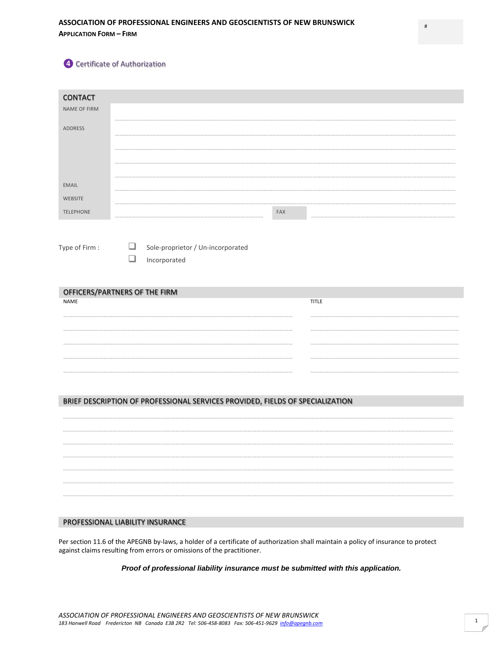*A* Certificate of Authorization

| <b>CONTACT</b>                               |   |                                  |                                                                               |     |              |  |
|----------------------------------------------|---|----------------------------------|-------------------------------------------------------------------------------|-----|--------------|--|
| NAME OF FIRM                                 |   |                                  |                                                                               |     |              |  |
| <b>ADDRESS</b>                               |   |                                  |                                                                               |     |              |  |
|                                              |   |                                  |                                                                               |     |              |  |
|                                              |   |                                  |                                                                               |     |              |  |
|                                              |   |                                  |                                                                               |     |              |  |
|                                              |   |                                  |                                                                               |     |              |  |
| <b>EMAIL</b>                                 |   |                                  |                                                                               |     |              |  |
| <b>WEBSITE</b>                               |   |                                  |                                                                               |     |              |  |
| <b>TELEPHONE</b>                             |   |                                  |                                                                               | FAX |              |  |
|                                              |   |                                  |                                                                               |     |              |  |
| Type of Firm:                                | ❏ |                                  | Sole-proprietor / Un-incorporated                                             |     |              |  |
|                                              | ❏ | Incorporated                     |                                                                               |     |              |  |
|                                              |   |                                  |                                                                               |     |              |  |
|                                              |   |                                  |                                                                               |     |              |  |
| OFFICERS/PARTNERS OF THE FIRM<br><b>NAME</b> |   |                                  |                                                                               |     | <b>TITLE</b> |  |
|                                              |   |                                  |                                                                               |     |              |  |
|                                              |   |                                  |                                                                               |     |              |  |
|                                              |   |                                  |                                                                               |     |              |  |
|                                              |   |                                  |                                                                               |     |              |  |
|                                              |   |                                  |                                                                               |     |              |  |
|                                              |   |                                  |                                                                               |     |              |  |
|                                              |   |                                  |                                                                               |     |              |  |
|                                              |   |                                  | BRIEF DESCRIPTION OF PROFESSIONAL SERVICES PROVIDED, FIELDS OF SPECIALIZATION |     |              |  |
|                                              |   |                                  |                                                                               |     |              |  |
|                                              |   |                                  |                                                                               |     |              |  |
|                                              |   |                                  |                                                                               |     |              |  |
|                                              |   |                                  |                                                                               |     |              |  |
|                                              |   |                                  |                                                                               |     |              |  |
|                                              |   |                                  |                                                                               |     |              |  |
|                                              |   |                                  |                                                                               |     |              |  |
|                                              |   |                                  |                                                                               |     |              |  |
|                                              |   | PROFESSIONAL LIABILITY INSURANCE |                                                                               |     |              |  |

Per section 11.6 of the APEGNB by-laws, a holder of a certificate of authorization shall maintain a policy of insurance to protect against claims resulting from errors or omissions of the practitioner.

*Proof of professional liability insurance must be submitted with this application.*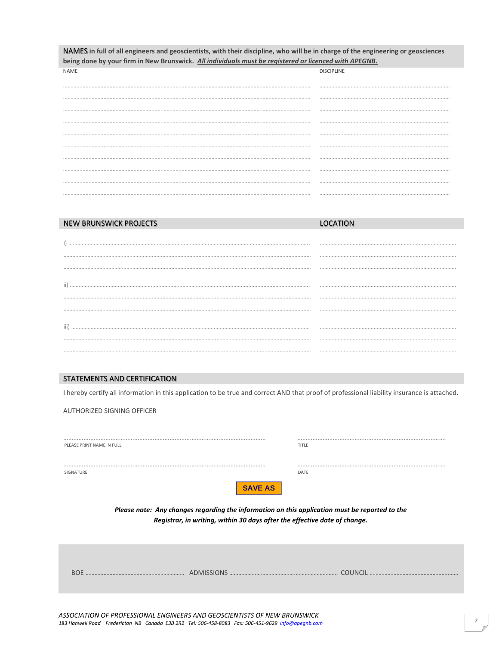| NAMES in full of all engineers and geoscientists, with their discipline, who will be in charge of the engineering or geosciences<br>being done by your firm in New Brunswick. All individuals must be registered or licenced with APEGNB. |                   |  |  |  |  |  |
|-------------------------------------------------------------------------------------------------------------------------------------------------------------------------------------------------------------------------------------------|-------------------|--|--|--|--|--|
| <b>NAME</b>                                                                                                                                                                                                                               | <b>DISCIPLINE</b> |  |  |  |  |  |
|                                                                                                                                                                                                                                           |                   |  |  |  |  |  |
|                                                                                                                                                                                                                                           |                   |  |  |  |  |  |
|                                                                                                                                                                                                                                           |                   |  |  |  |  |  |
|                                                                                                                                                                                                                                           |                   |  |  |  |  |  |
|                                                                                                                                                                                                                                           |                   |  |  |  |  |  |
|                                                                                                                                                                                                                                           |                   |  |  |  |  |  |
|                                                                                                                                                                                                                                           |                   |  |  |  |  |  |
|                                                                                                                                                                                                                                           |                   |  |  |  |  |  |
|                                                                                                                                                                                                                                           |                   |  |  |  |  |  |
|                                                                                                                                                                                                                                           |                   |  |  |  |  |  |
|                                                                                                                                                                                                                                           |                   |  |  |  |  |  |

| NEW BRUNSWICK PROJECTS |  |
|------------------------|--|
|                        |  |
|                        |  |
|                        |  |
|                        |  |
|                        |  |
|                        |  |
|                        |  |
|                        |  |
|                        |  |
|                        |  |

## **STATEMENTS AND CERTIFICATION**

I hereby certify all information in this application to be true and correct AND that proof of professional liability insurance is attached.

AUTHORIZED SIGNING OFFICER

| PLEASE PRINT NAME IN FULL                                                                                                                                                                     | TITLE          |  |  |  |
|-----------------------------------------------------------------------------------------------------------------------------------------------------------------------------------------------|----------------|--|--|--|
| SIGNATURE                                                                                                                                                                                     | DATF           |  |  |  |
| <b>SAVE AS</b><br>Please note: Any changes regarding the information on this application must be reported to the<br>Registrar, in writing, within 30 days after the effective date of change. |                |  |  |  |
| <b>BOE</b>                                                                                                                                                                                    | <b>COUNCIL</b> |  |  |  |
| ASSOCIATION OF PROFESSIONAL ENGINEERS AND GEOSCIENTISTS OF NEW BRUNSWICK                                                                                                                      |                |  |  |  |

183 Hanwell Road Fredericton NB Canada E3B 2R2 Tel: 506-458-8083 Fax: 506-451-9629 info@apeqnb.com